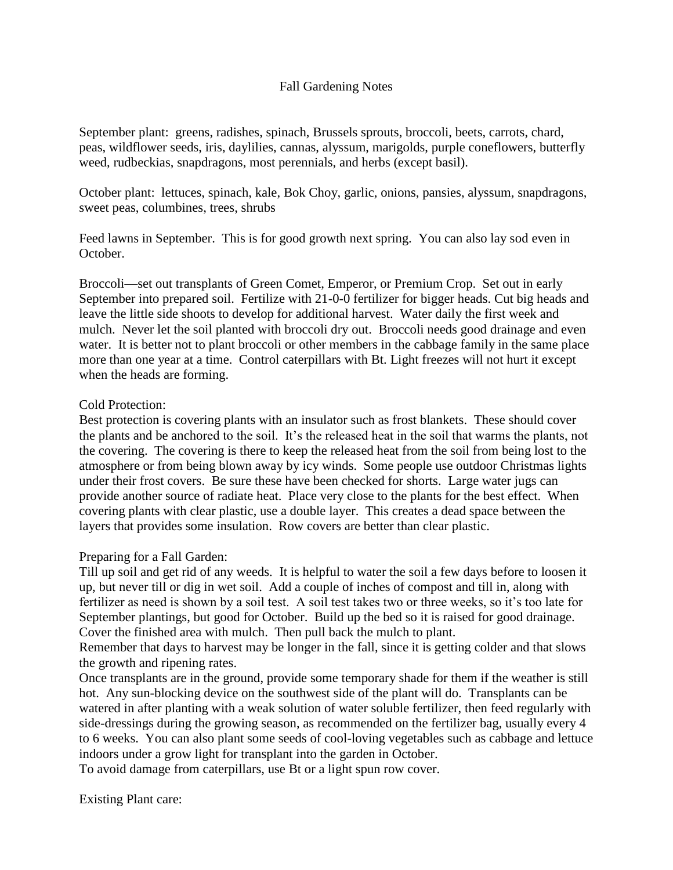### Fall Gardening Notes

September plant: greens, radishes, spinach, Brussels sprouts, broccoli, beets, carrots, chard, peas, wildflower seeds, iris, daylilies, cannas, alyssum, marigolds, purple coneflowers, butterfly weed, rudbeckias, snapdragons, most perennials, and herbs (except basil).

October plant: lettuces, spinach, kale, Bok Choy, garlic, onions, pansies, alyssum, snapdragons, sweet peas, columbines, trees, shrubs

Feed lawns in September. This is for good growth next spring. You can also lay sod even in October.

Broccoli—set out transplants of Green Comet, Emperor, or Premium Crop. Set out in early September into prepared soil. Fertilize with 21-0-0 fertilizer for bigger heads. Cut big heads and leave the little side shoots to develop for additional harvest. Water daily the first week and mulch. Never let the soil planted with broccoli dry out. Broccoli needs good drainage and even water. It is better not to plant broccoli or other members in the cabbage family in the same place more than one year at a time. Control caterpillars with Bt. Light freezes will not hurt it except when the heads are forming.

#### Cold Protection:

Best protection is covering plants with an insulator such as frost blankets. These should cover the plants and be anchored to the soil. It's the released heat in the soil that warms the plants, not the covering. The covering is there to keep the released heat from the soil from being lost to the atmosphere or from being blown away by icy winds. Some people use outdoor Christmas lights under their frost covers. Be sure these have been checked for shorts. Large water jugs can provide another source of radiate heat. Place very close to the plants for the best effect. When covering plants with clear plastic, use a double layer. This creates a dead space between the layers that provides some insulation. Row covers are better than clear plastic.

### Preparing for a Fall Garden:

Till up soil and get rid of any weeds. It is helpful to water the soil a few days before to loosen it up, but never till or dig in wet soil. Add a couple of inches of compost and till in, along with fertilizer as need is shown by a soil test. A soil test takes two or three weeks, so it's too late for September plantings, but good for October. Build up the bed so it is raised for good drainage. Cover the finished area with mulch. Then pull back the mulch to plant.

Remember that days to harvest may be longer in the fall, since it is getting colder and that slows the growth and ripening rates.

Once transplants are in the ground, provide some temporary shade for them if the weather is still hot. Any sun-blocking device on the southwest side of the plant will do. Transplants can be watered in after planting with a weak solution of water soluble fertilizer, then feed regularly with side-dressings during the growing season, as recommended on the fertilizer bag, usually every 4 to 6 weeks. You can also plant some seeds of cool-loving vegetables such as cabbage and lettuce indoors under a grow light for transplant into the garden in October.

To avoid damage from caterpillars, use Bt or a light spun row cover.

Existing Plant care: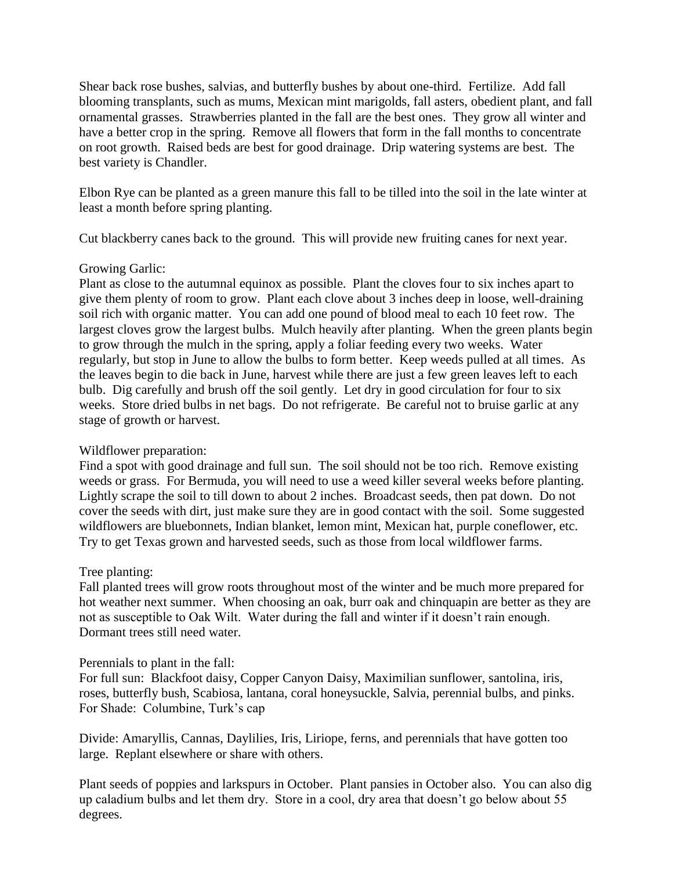Shear back rose bushes, salvias, and butterfly bushes by about one-third. Fertilize. Add fall blooming transplants, such as mums, Mexican mint marigolds, fall asters, obedient plant, and fall ornamental grasses. Strawberries planted in the fall are the best ones. They grow all winter and have a better crop in the spring. Remove all flowers that form in the fall months to concentrate on root growth. Raised beds are best for good drainage. Drip watering systems are best. The best variety is Chandler.

Elbon Rye can be planted as a green manure this fall to be tilled into the soil in the late winter at least a month before spring planting.

Cut blackberry canes back to the ground. This will provide new fruiting canes for next year.

## Growing Garlic:

Plant as close to the autumnal equinox as possible. Plant the cloves four to six inches apart to give them plenty of room to grow. Plant each clove about 3 inches deep in loose, well-draining soil rich with organic matter. You can add one pound of blood meal to each 10 feet row. The largest cloves grow the largest bulbs. Mulch heavily after planting. When the green plants begin to grow through the mulch in the spring, apply a foliar feeding every two weeks. Water regularly, but stop in June to allow the bulbs to form better. Keep weeds pulled at all times. As the leaves begin to die back in June, harvest while there are just a few green leaves left to each bulb. Dig carefully and brush off the soil gently. Let dry in good circulation for four to six weeks. Store dried bulbs in net bags. Do not refrigerate. Be careful not to bruise garlic at any stage of growth or harvest.

# Wildflower preparation:

Find a spot with good drainage and full sun. The soil should not be too rich. Remove existing weeds or grass. For Bermuda, you will need to use a weed killer several weeks before planting. Lightly scrape the soil to till down to about 2 inches. Broadcast seeds, then pat down. Do not cover the seeds with dirt, just make sure they are in good contact with the soil. Some suggested wildflowers are bluebonnets, Indian blanket, lemon mint, Mexican hat, purple coneflower, etc. Try to get Texas grown and harvested seeds, such as those from local wildflower farms.

# Tree planting:

Fall planted trees will grow roots throughout most of the winter and be much more prepared for hot weather next summer. When choosing an oak, burr oak and chinquapin are better as they are not as susceptible to Oak Wilt. Water during the fall and winter if it doesn't rain enough. Dormant trees still need water.

### Perennials to plant in the fall:

For full sun: Blackfoot daisy, Copper Canyon Daisy, Maximilian sunflower, santolina, iris, roses, butterfly bush, Scabiosa, lantana, coral honeysuckle, Salvia, perennial bulbs, and pinks. For Shade: Columbine, Turk's cap

Divide: Amaryllis, Cannas, Daylilies, Iris, Liriope, ferns, and perennials that have gotten too large. Replant elsewhere or share with others.

Plant seeds of poppies and larkspurs in October. Plant pansies in October also. You can also dig up caladium bulbs and let them dry. Store in a cool, dry area that doesn't go below about 55 degrees.